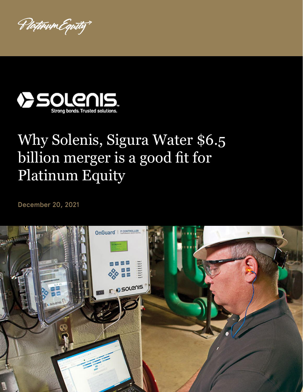Plotinum Equity



## Why Solenis, Sigura Water \$6.5 billion merger is a good fit for Platinum Equity

December 20, 2021

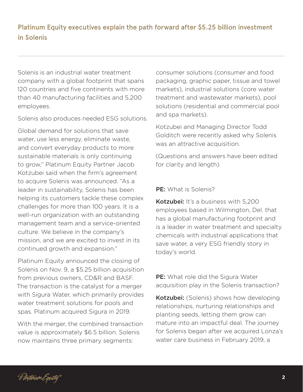Platinum Equity executives explain the path forward after \$5.25 billion investment in Solenis

Solenis is an industrial water treatment company with a global footprint that spans 120 countries and five continents with more than 40 manufacturing facilities and 5,200 employees.

Solenis also produces needed ESG solutions.

Global demand for solutions that save water, use less energy, eliminate waste, and convert everyday products to more sustainable materials is only continuing to grow," Platinum Equity Partner Jacob Kotzubei said when the firm's agreement to acquire Solenis was announced. "As a leader in sustainability, Solenis has been helping its customers tackle these complex challenges for more than 100 years. It is a well-run organization with an outstanding management team and a service-oriented culture. We believe in the company's mission, and we are excited to invest in its continued growth and expansion."

Platinum Equity announced the closing of Solenis on Nov. 9, a \$5.25 billion acquisition from previous owners, CD&R and BASF. The transaction is the catalyst for a merger with Sigura Water, which primarily provides water treatment solutions for pools and spas. Platinum acquired Sigura in 2019.

With the merger, the combined transaction value is approximately \$6.5 billion. Solenis now maintains three primary segments:

consumer solutions (consumer and food packaging, graphic paper, tissue and towel markets), industrial solutions (core water treatment and wastewater markets), pool solutions (residential and commercial pool and spa markets).

Kotzubei and Managing Director Todd Golditch were recently asked why Solenis was an attractive acquisition.

(Questions and answers have been edited for clarity and length)

## PE: What is Solenis?

Kotzubei: It's a business with 5.200 employees based in Wilmington, Del. that has a global manufacturing footprint and is a leader in water treatment and specialty chemicals with industrial applications that save water, a very ESG friendly story in today's world.

**PE:** What role did the Sigura Water acquisition play in the Solenis transaction?

**Kotzubei:** (Solenis) shows how developing relationships, nurturing relationships and planting seeds, letting them grow can mature into an impactful deal. The journey for Solenis began after we acquired Lonza's water care business in February 2019, a

P*lotivum Equity*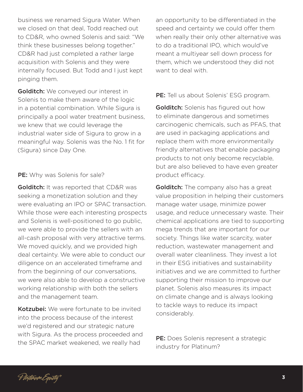business we renamed Sigura Water. When we closed on that deal, Todd reached out to CD&R, who owned Solenis and said: "We think these businesses belong together." CD&R had just completed a rather large acquisition with Solenis and they were internally focused. But Todd and I just kept pinging them.

**Golditch:** We conveyed our interest in Solenis to make them aware of the logic in a potential combination. While Sigura is principally a pool water treatment business, we knew that we could leverage the industrial water side of Sigura to grow in a meaningful way. Solenis was the No. 1 fit for (Sigura) since Day One.

## PE: Why was Solenis for sale?

**Golditch:** It was reported that CD&R was seeking a monetization solution and they were evaluating an IPO or SPAC transaction. While those were each interesting prospects and Solenis is well-positioned to go public, we were able to provide the sellers with an all-cash proposal with very attractive terms. We moved quickly, and we provided high deal certainty. We were able to conduct our diligence on an accelerated timeframe and from the beginning of our conversations, we were also able to develop a constructive working relationship with both the sellers and the management team.

Kotzubei: We were fortunate to be invited into the process because of the interest we'd registered and our strategic nature with Sigura. As the process proceeded and the SPAC market weakened, we really had

an opportunity to be differentiated in the speed and certainty we could offer them when really their only other alternative was to do a traditional IPO, which would've meant a multiyear sell down process for them, which we understood they did not want to deal with.

PE: Tell us about Solenis' ESG program.

**Golditch:** Solenis has figured out how to eliminate dangerous and sometimes carcinogenic chemicals, such as PFAS, that are used in packaging applications and replace them with more environmentally friendly alternatives that enable packaging products to not only become recyclable, but are also believed to have even greater product efficacy.

**Golditch:** The company also has a great value proposition in helping their customers manage water usage, minimize power usage, and reduce unnecessary waste. Their chemical applications are tied to supporting mega trends that are important for our society. Things like water scarcity, water reduction, wastewater management and overall water cleanliness. They invest a lot in their ESG initiatives and sustainability initiatives and we are committed to further supporting their mission to improve our planet. Solenis also measures its impact on climate change and is always looking to tackle ways to reduce its impact considerably.

PE: Does Solenis represent a strategic industry for Platinum?

Plotinum Equity"